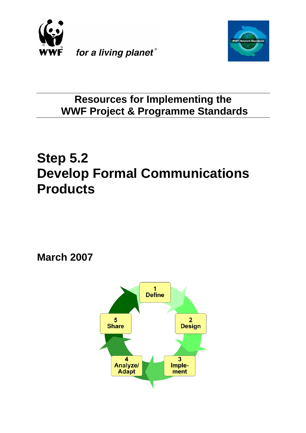



## **Resources for Implementing the WWF Project & Programme Standards**

# **Step 5.2 Develop Formal Communications Products**

**March 2007**

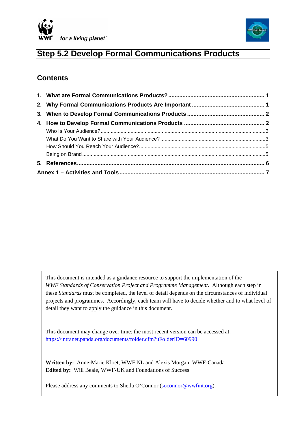



## **Step 5.2 Develop Formal Communications Products**

## **Contents**

This document is intended as a guidance resource to support the implementation of the *WWF Standards of Conservation Project and Programme Management.* Although each step in these *Standards* must be completed, the level of detail depends on the circumstances of individual projects and programmes. Accordingly, each team will have to decide whether and to what level of detail they want to apply the guidance in this document.

This document may change over time; the most recent version can be accessed at: <https://intranet.panda.org/documents/folder.cfm?uFolderID=60990>

**Written by:** Anne-Marie Kloet, WWF NL and Alexis Morgan, WWF-Canada **Edited by:** Will Beale, WWF-UK and Foundations of Success

Please address any comments to Sheila O'Connor [\(soconnor@wwfint.org](mailto:soconnor@wwfint.org)).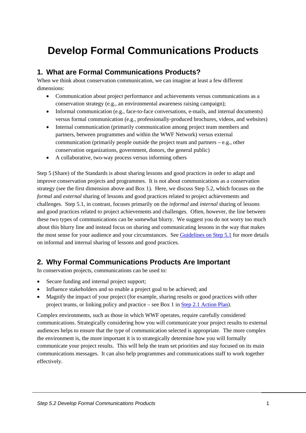## <span id="page-2-0"></span>**Develop Formal Communications Products**

## **1. What are Formal Communications Products?**

When we think about conservation communication, we can imagine at least a few different dimensions:

- Communication about project performance and achievements versus communications as a conservation strategy (e.g., an environmental awareness raising campaign);
- Informal communication (e.g., face-to-face conversations, e-mails, and internal documents) versus formal communication (e.g., professionally-produced brochures, videos, and websites)
- Internal communication (primarily communication among project team members and partners, between programmes and within the WWF Network) versus external communication (primarily people outside the project team and partners – e.g., other conservation organizations, government, donors, the general public)
- A collaborative, two-way process versus informing others

Step 5 (Share) of the Standards is about sharing lessons and good practices in order to adapt and improve conservation projects and programmes. It is not about communications as a conservation strategy (see the first dimension above and [Box 1\)](#page-3-1). Here, we discuss Step 5.2, which focuses on the *formal* and *external* sharing of lessons and good practices related to project achievements and challenges. Step 5.1, in contrast, focuses primarily on the *informal* and *internal* sharing of lessons and good practices related to project achievements and challenges. Often, however, the line between these two types of communications can be somewhat blurry. We suggest you do not worry too much about this blurry line and instead focus on sharing and communicating lessons in the way that makes the most sense for your audience and your circumstances. See [Guidelines on Step 5.1](https://intranet.panda.org/documents/folder.cfm?uFolderID=60989) for more details on informal and internal sharing of lessons and good practices.

### **2. Why Formal Communications Products Are Important**

In conservation projects, communications can be used to:

- Secure funding and internal project support;
- Influence stakeholders and so enable a project goal to be achieved; and
- Magnify the impact of your project (for example, sharing results or good practices with other project teams, or linking policy and practice – see Box 1 in [Step 2.1 Action Plan](https://intranet.panda.org/documents/folder.cfm?uFolderID=60978)).

Complex environments, such as those in which WWF operates, require carefully considered communications. Strategically considering how you will communicate your project results to external audiences helps to ensure that the type of communication selected is appropriate. The more complex the environment is, the more important it is to strategically determine how you will formally communicate your project results. This will help the team set priorities and stay focused on its main communications messages. It can also help programmes and communications staff to work together effectively.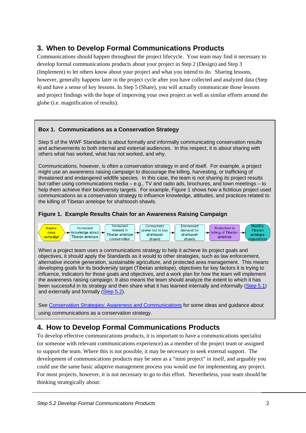## <span id="page-3-0"></span>**3. When to Develop Formal Communications Products**

Communications should happen throughout the project lifecycle. Your team may find it necessary to develop formal communications products about your project in Step 2 (Design) and Step 3 (Implement) to let others know about your project and what you intend to do. Sharing lessons, however, generally happens later in the project cycle after you have collected and analyzed data (Step 4) and have a sense of key lessons. In Step 5 (Share), you will actually communicate those lessons and project findings with the hope of improving your own project as well as similar efforts around the globe (i.e. magnification of results).

#### **Box 1. Communications as a Conservation Strategy**

Step 5 of the WWF Standards is about formally and informally communicating conservation results and achievements to both internal and external audiences. In this respect, it is about sharing with others what has worked, what has not worked, and why.

Communications, however, is often a conservation strategy in and of itself. For example, a project might use an awareness raising campaign to discourage the killing, harvesting, or trafficking of threatened and endangered wildlife species. In this case, the team is not sharing its project results but rather using communications media – e.g., TV and radio ads, brochures, and town meetings – to help them achieve their biodiversity targets. For example, Figure 1 shows how a fictitious project used communications as a conservation strategy to influence kn[owledge,](#page-3-1) attitudes, and practices related to the killing of Tibetan antelope for shahtoosh shawls.

#### <span id="page-3-1"></span>**Figure 1. Example Results Chain for an Awareness Raising Campaign**



When a project team uses a communications strategy to help it achieve its project goals and objectives, it should apply the Standards as it would to other strategies, such as law enforcement, alternative income generation, sustainable agriculture, and protected area management. This means developing goals for its biodiversity target (Tibetan antelope), objectives for key factors it is trying to influence, indicators for those goals and objectives, and a work plan for how the team will implement the awareness raising campaign. It also means the team should analyze the extent to which it has been successful in its strategy and then share what it has learned internally and informally [\(Step 5.1](https://intranet.panda.org/documents/folder.cfm?uFolderID=60989)) and externally and formally [\(Step 5.2](https://intranet.panda.org/documents/folder.cfm?uFolderID=60990)).

See [Conservation Strategies: Awareness and Communications](https://intranet.panda.org/documents/folder.cfm?uFolderID=77127) for some ideas and guidance about using communications as a conservation strategy.

## **4. How to Develop Formal Communications Products**

To develop effective communications products, it is important to have a communications specialist (or someone with relevant communications experience) as a member of the project team or assigned to support the team. Where this is not possible, it may be necessary to seek external support. The development of communications products may be seen as a "mini project" in itself, and arguably you could use the same basic adaptive management process you would use for implementing any project. For most projects, however, it is not necessary to go to this effort. Nevertheless, your team should be thinking strategically about: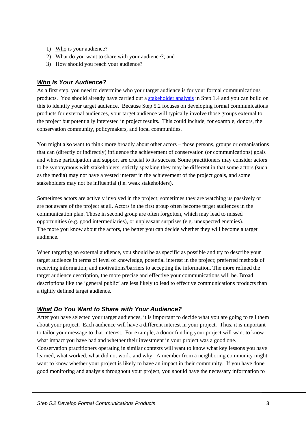- <span id="page-4-0"></span>1) Who is your audience?
- 2) What do you want to share with your audience?; and
- 3) How should you reach your audience?

#### *Who Is Your Audience?*

As a first step, you need to determine who your target audience is for your formal communications products. You should already have carried out a [stakeholder analysis](https://intranet.panda.org/documents/folder.cfm?uFolderID=60977) in Step 1.4 and you can build on this to identify your target audience. Because Step 5.2 focuses on developing formal communications products for external audiences, your target audience will typically involve those groups external to the project but potentially interested in project results. This could include, for example, donors, the conservation community, policymakers, and local communities.

You might also want to think more broadly about other actors – those persons, groups or organisations that can (directly or indirectly) influence the achievement of conservation (or communications) goals and whose participation and support are crucial to its success. Some practitioners may consider actors to be synonymous with stakeholders; strictly speaking they may be different in that some actors (such as the media) may not have a vested interest in the achievement of the project goals, and some stakeholders may not be influential (i.e. weak stakeholders).

Sometimes actors are actively involved in the project; sometimes they are watching us passively or are not aware of the project at all. Actors in the first group often become target audiences in the communication plan. Those in second group are often forgotten, which may lead to missed opportunities (e.g. good intermediaries), or unpleasant surprises (e.g. unexpected enemies). The more you know about the actors, the better you can decide whether they will become a target audience.

When targeting an external audience, you should be as specific as possible and try to describe your target audience in terms of level of knowledge, potential interest in the project; preferred methods of receiving information; and motivations/barriers to accepting the information. The more refined the target audience description, the more precise and effective your communications will be. Broad descriptions like the 'general public' are less likely to lead to effective communications products than a tightly defined target audience.

#### *What Do You Want to Share with Your Audience?*

After you have selected your target audiences, it is important to decide what you are going to tell them about your project. Each audience will have a different interest in your project. Thus, it is important to tailor your message to that interest. For example, a donor funding your project will want to know what impact you have had and whether their investment in your project was a good one.

Conservation practitioners operating in similar contexts will want to know what key lessons you have learned, what worked, what did not work, and why. A member from a neighboring community might want to know whether your project is likely to have an impact in their community. If you have done good monitoring and analysis throughout your project, you should have the necessary information to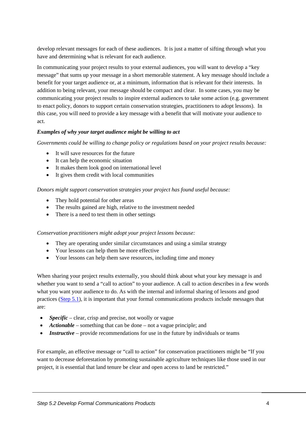develop relevant messages for each of these audiences. It is just a matter of sifting through what you have and determining what is relevant for each audience.

In communicating your project results to your external audiences, you will want to develop a "key message" that sums up your message in a short memorable statement. A key message should include a benefit for your target audience or, at a minimum, information that is relevant for their interests. In addition to being relevant, your message should be compact and clear. In some cases, you may be communicating your project results to inspire external audiences to take some action (e.g. government to enact policy, donors to support certain conservation strategies, practitioners to adopt lessons). In this case, you will need to provide a key message with a benefit that will motivate your audience to act.

#### *Examples of why your target audience might be willing to act*

*Governments could be willing to change policy or regulations based on your project results because:* 

- It will save resources for the future
- It can help the economic situation
- It makes them look good on international level
- It gives them credit with local communities

#### *Donors might support conservation strategies your project has found useful because:*

- They hold potential for other areas
- The results gained are high, relative to the investment needed
- There is a need to test them in other settings

#### *Conservation practitioners might adopt your project lessons because:*

- They are operating under similar circumstances and using a similar strategy
- Your lessons can help them be more effective
- Your lessons can help them save resources, including time and money

When sharing your project results externally, you should think about what your key message is and whether you want to send a "call to action" to your audience. A call to action describes in a few words what you want your audience to do. As with the internal and informal sharing of lessons and good practices [\(Step 5.1\)](https://intranet.panda.org/documents/folder.cfm?uFolderID=60989), it is important that your formal communications products include messages that are:

- *Specific* clear, crisp and precise, not woolly or vague
- *Actionable* something that can be done not a vague principle; and
- *Instructive* provide recommendations for use in the future by individuals or teams

For example, an effective message or "call to action" for conservation practitioners might be "If you want to decrease deforestation by promoting sustainable agriculture techniques like those used in our project, it is essential that land tenure be clear and open access to land be restricted."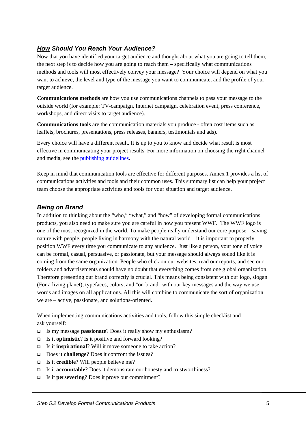#### <span id="page-6-0"></span>*How Should You Reach Your Audience?*

Now that you have identified your target audience and thought about what you are going to tell them, the next step is to decide how you are going to reach them – specifically what communications methods and tools will most effectively convey your message? Your choice will depend on what you want to achieve, the level and type of the message you want to communicate, and the profile of your target audience.

**Communications methods** are how you use communications channels to pass your message to the outside world (for example: TV-campaign, Internet campaign, celebration event, press conference, workshops, and direct visits to target audience).

**Communications tools** are the communication materials you produce - often cost items such as leaflets, brochures, presentations, press releases, banners, testimonials and ads).

Every choice will have a different result. It is up to you to know and decide what result is most effective in communicating your project results. For more information on choosing the right channel and media, see the [publishing guidelines](https://intranet.panda.org/documents/document.cfm?uFolderID=4291&uDocID=59835).

Keep in mind that communication tools are effective for different purposes. Annex 1 provides a list of communications activities and tools and their common uses. This summary list can help your project team choose the appropriate activities and tools for your situation and target audience.

#### *Being on Brand*

In addition to thinking about the "who," "what," and "how" of developing formal communications products, you also need to make sure you are careful in how you present WWF. The WWF logo is one of the most recognized in the world. To make people really understand our core purpose – saving nature with people, people living in harmony with the natural world – it is important to properly position WWF every time you communicate to any audience. Just like a person, your tone of voice can be formal, casual, persuasive, or passionate, but your message should always sound like it is coming from the same organization. People who click on our websites, read our reports, and see our folders and advertisements should have no doubt that everything comes from one global organization. Therefore presenting our brand correctly is crucial. This means being consistent with our logo, slogan (For a living planet), typefaces, colors, and "on-brand" with our key messages and the way we use words and images on all applications. All this will combine to communicate the sort of organization we are – active, passionate, and solutions-oriented.

When implementing communications activities and tools, follow this simple checklist and ask yourself:

- Is my message **passionate**? Does it really show my enthusiasm?
- Is it **optimistic**? Is it positive and forward looking?
- Is it **inspirational**? Will it move someone to take action?
- Does it **challenge**? Does it confront the issues?
- Is it **credible**? Will people believe me?
- Is it **accountable**? Does it demonstrate our honesty and trustworthiness?
- Is it **persevering**? Does it prove our commitment?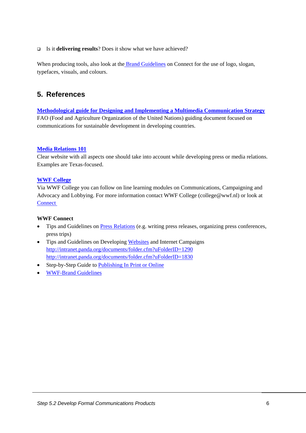#### <span id="page-7-0"></span>Is it **delivering results**? Does it show what we have achieved?

When producing tools, also look at the **Brand Guidelines** on Connect for the use of logo, slogan, typefaces, visuals, and colours.

### **5. References**

**[Methodological guide for Designing and Implementing a Multimedia Communication Strategy](http://www.fao.org/docrep/005/Y4334E/y4334e00.HTM)** FAO (Food and Agriculture Organization of the United Nations) guiding document focused on communications for sustainable development in developing countries.

#### **[Media Relations 101](http://www.arts.state.tx.us/news/media101/home.asp)**

Clear website with all aspects one should take into account while developing press or media relations. Examples are Texas-focused.

#### **[WWF College](http://www.wwfcollege.org/)**

Via WWF College you can follow on line learning modules on Communications, Campaigning and Advocacy and Lobbying. For more information contact WWF College (college@wwf.nl) or look at **Connect** 

#### **WWF Connect**

- Tips and Guidelines on [Press Relations](https://intranet.panda.org/documents/folder.cfm?uFolderID=13) (e.g. writing press releases, organizing press conferences, press trips)
- Tips and Guidelines on Developing [Websites](http://intranet.panda.org/documents/folder.cfm?uFolderID=1290) and Internet Campaigns <http://intranet.panda.org/documents/folder.cfm?uFolderID=1290> <http://intranet.panda.org/documents/folder.cfm?uFolderID=1830>
- Step-by-Step Guide to [Publishing In Print or Online](http://intranet.panda.org/documents/document.cfm?uFolderID=4291&uDocID=59835)
- [WWF-Brand Guidelines](http://intranet.panda.org/documents/folder.cfm?uFolderID=10763)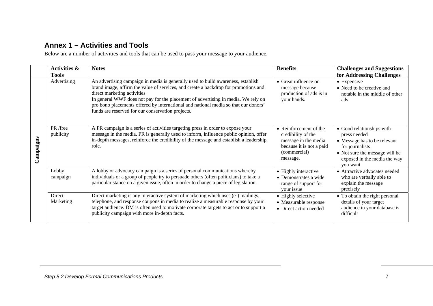## **Annex 1 – Activities and Tools**

Below are a number of activities and tools that can be used to pass your message to your audience.

<span id="page-8-0"></span>

|           | <b>Activities &amp;</b><br><b>Tools</b> | <b>Notes</b>                                                                                                                                                                                                                                                                                                                                                                                                                             | <b>Benefits</b>                                                                                                              | <b>Challenges and Suggestions</b><br>for Addressing Challenges                                                                                                             |
|-----------|-----------------------------------------|------------------------------------------------------------------------------------------------------------------------------------------------------------------------------------------------------------------------------------------------------------------------------------------------------------------------------------------------------------------------------------------------------------------------------------------|------------------------------------------------------------------------------------------------------------------------------|----------------------------------------------------------------------------------------------------------------------------------------------------------------------------|
| Campaigns | Advertising                             | An advertising campaign in media is generally used to build awareness, establish<br>brand image, affirm the value of services, and create a backdrop for promotions and<br>direct marketing activities.<br>In general WWF does not pay for the placement of advertising in media. We rely on<br>pro bono placements offered by international and national media so that our donors'<br>funds are reserved for our conservation projects. | $\bullet$ Great influence on<br>message because<br>production of ads is in<br>your hands.                                    | • Expensive<br>• Need to be creative and<br>notable in the middle of other<br>ads                                                                                          |
|           | PR /free<br>publicity                   | A PR campaign is a series of activities targeting press in order to expose your<br>message in the media. PR is generally used to inform, influence public opinion, offer<br>in-depth messages, reinforce the credibility of the message and establish a leadership<br>role.                                                                                                                                                              | • Reinforcement of the<br>credibility of the<br>message in the media<br>because it is not a paid<br>(commercial)<br>message. | • Good relationships with<br>press needed<br>• Message has to be relevant<br>for journalists<br>• Not sure the message will be<br>exposed in the media the way<br>vou want |
|           | Lobby<br>campaign                       | A lobby or advocacy campaign is a series of personal communications whereby<br>individuals or a group of people try to persuade others (often politicians) to take a<br>particular stance on a given issue, often in order to change a piece of legislation.                                                                                                                                                                             | • Highly interactive<br>• Demonstrates a wide<br>range of support for<br>your issue                                          | • Attractive advocates needed<br>who are verbally able to<br>explain the message<br>precisely                                                                              |
|           | Direct<br>Marketing                     | Direct marketing is any interactive system of marketing which uses (e-) mailings,<br>telephone, and response coupons in media to realize a measurable response by your<br>target audience. DM is often used to motivate corporate targets to act or to support a<br>publicity campaign with more in-depth facts.                                                                                                                         | • Highly selective<br>• Measurable response<br>• Direct action needed                                                        | • To obtain the right personal<br>details of your target<br>audience in your database is<br>difficult                                                                      |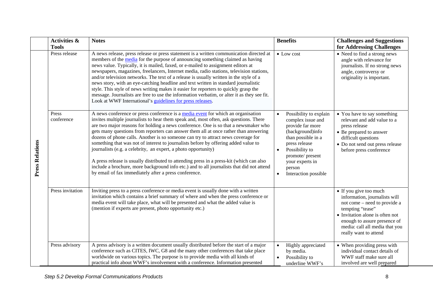|                        | <b>Activities &amp;</b><br><b>Tools</b> | <b>Notes</b>                                                                                                                                                                                                                                                                                                                                                                                                                                                                                                                                                                                                                                                                                                                                                                                                                                             | <b>Benefits</b>                                                                                                                                                                                                       | <b>Challenges and Suggestions</b><br>for Addressing Challenges                                                                                                                                                                            |
|------------------------|-----------------------------------------|----------------------------------------------------------------------------------------------------------------------------------------------------------------------------------------------------------------------------------------------------------------------------------------------------------------------------------------------------------------------------------------------------------------------------------------------------------------------------------------------------------------------------------------------------------------------------------------------------------------------------------------------------------------------------------------------------------------------------------------------------------------------------------------------------------------------------------------------------------|-----------------------------------------------------------------------------------------------------------------------------------------------------------------------------------------------------------------------|-------------------------------------------------------------------------------------------------------------------------------------------------------------------------------------------------------------------------------------------|
|                        | Press release                           | A news release, press release or press statement is a written communication directed at<br>members of the media for the purpose of announcing something claimed as having<br>news value. Typically, it is mailed, faxed, or e-mailed to assignment editors at<br>newspapers, magazines, freelancers, Internet media, radio stations, television stations,<br>and/or television networks. The text of a release is usually written in the style of a<br>news story, with an eye-catching headline and text written in standard journalistic<br>style. This style of news writing makes it easier for reporters to quickly grasp the<br>message. Journalists are free to use the information verbatim, or alter it as they see fit.<br>Look at WWF International's guidelines for press releases.                                                          | • Low cost                                                                                                                                                                                                            | • Need to find a strong news<br>angle with relevance for<br>journalists. If no strong news<br>angle, controversy or<br>originality is important.                                                                                          |
| <b>Press Relations</b> | Press<br>conference                     | A news conference or press conference is a media event for which an organisation<br>invites multiple journalists to hear them speak and, most often, ask questions. There<br>are two major reasons for holding a news conference. One is so that a newsmaker who<br>gets many questions from reporters can answer them all at once rather than answering<br>dozens of phone calls. Another is so someone can try to attract news coverage for<br>something that was not of interest to journalists before by offering added value to<br>journalists (e.g. a celebrity, an expert, a photo opportunity)<br>A press release is usually distributed to attending press in a press-kit (which can also<br>include a brochure, more background info etc.) and to all journalists that did not attend<br>by email of fax immediately after a press conference. | Possibility to explain<br>complex issue and<br>provide far more<br>(background)info<br>than possible in a<br>press release<br>Possibility to<br>promote/ present<br>your experts in<br>person<br>Interaction possible | • You have to say something<br>relevant and add value to a<br>press release<br>• Be prepared to answer<br>difficult questions<br>• Do not send out press release<br>before press conference                                               |
|                        | Press invitation                        | Inviting press to a press conference or media event is usually done with a written<br>invitation which contains a brief summary of where and when the press conference or<br>media event will take place, what will be presented and what the added value is<br>(mention if experts are present, photo opportunity etc.)                                                                                                                                                                                                                                                                                                                                                                                                                                                                                                                                 |                                                                                                                                                                                                                       | • If you give too much<br>information, journalists will<br>not come – need to provide a<br>tempting "tease"<br>• Invitation alone is often not<br>enough to assure presence of<br>media: call all media that you<br>really want to attend |
|                        | Press advisory                          | A press advisory is a written document usually distributed before the start of a major<br>conference such as CITES, IWC, G8 and the many other conferences that take place<br>worldwide on various topics. The purpose is to provide media with all kinds of<br>practical info about WWF's involvement with a conference. Information presented                                                                                                                                                                                                                                                                                                                                                                                                                                                                                                          | Highly appreciated<br>by media.<br>Possibility to<br>underline WWF's                                                                                                                                                  | • When providing press with<br>individual contact details of<br>WWF staff make sure all<br>involved are well prepared                                                                                                                     |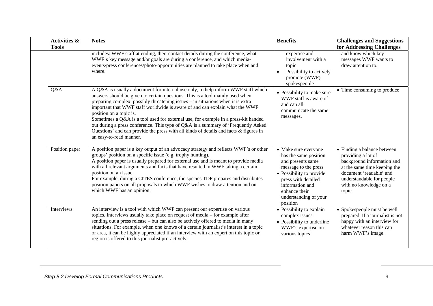| <b>Activities &amp;</b><br><b>Tools</b> | <b>Notes</b>                                                                                                                                                                                                                                                                                                                                                                                                                                                                                                                                                                                                                                                   | <b>Benefits</b>                                                                                                                                                                                                        | <b>Challenges and Suggestions</b><br>for Addressing Challenges                                                                                                                                              |
|-----------------------------------------|----------------------------------------------------------------------------------------------------------------------------------------------------------------------------------------------------------------------------------------------------------------------------------------------------------------------------------------------------------------------------------------------------------------------------------------------------------------------------------------------------------------------------------------------------------------------------------------------------------------------------------------------------------------|------------------------------------------------------------------------------------------------------------------------------------------------------------------------------------------------------------------------|-------------------------------------------------------------------------------------------------------------------------------------------------------------------------------------------------------------|
|                                         | includes: WWF staff attending, their contact details during the conference, what<br>WWF's key message and/or goals are during a conference, and which media-<br>events/press conferences/photo-opportunities are planned to take place when and<br>where.                                                                                                                                                                                                                                                                                                                                                                                                      | expertise and<br>involvement with a<br>topic.<br>Possibility to actively<br>promote (WWF)<br>spokespeople                                                                                                              | and know which key-<br>messages WWF wants to<br>draw attention to.                                                                                                                                          |
| Q&A                                     | A Q&A is usually a document for internal use only, to help inform WWF staff which<br>answers should be given to certain questions. This is a tool mainly used when<br>preparing complex, possibly threatening issues - in situations when it is extra<br>important that WWF staff worldwide is aware of and can explain what the WWF<br>position on a topic is.<br>Sometimes a Q&A is a tool used for external use, for example in a press-kit handed<br>out during a press conference. This type of Q&A is a summary of 'Frequently Asked<br>Questions' and can provide the press with all kinds of details and facts & figures in<br>an easy-to-read manner. | • Possibility to make sure<br>WWF staff is aware of<br>and can all<br>communicate the same<br>messages.                                                                                                                | • Time consuming to produce                                                                                                                                                                                 |
| Position paper                          | A position paper is a key output of an advocacy strategy and reflects WWF's or other<br>groups' position on a specific issue (e.g. trophy hunting).<br>A position paper is usually prepared for external use and is meant to provide media<br>with all relevant arguments and facts that have resulted in WWF taking a certain<br>position on an issue.<br>For example, during a CITES conference, the species TDP prepares and distributes<br>position papers on all proposals to which WWF wishes to draw attention and on<br>which WWF has an opinion.                                                                                                      | • Make sure everyone<br>has the same position<br>and presents same<br>message to the press<br>• Possibility to provide<br>press with detailed<br>information and<br>enhance their<br>understanding of your<br>position | • Finding a balance between<br>providing a lot of<br>background information and<br>at the same time keeping the<br>document 'readable' and<br>understandable for people<br>with no knowledge on a<br>topic. |
| Interviews                              | An interview is a tool with which WWF can present our expertise on various<br>topics. Interviews usually take place on request of media – for example after<br>sending out a press release - but can also be actively offered to media in many<br>situations. For example, when one knows of a certain journalist's interest in a topic<br>or area, it can be highly appreciated if an interview with an expert on this topic or<br>region is offered to this journalist pro-actively.                                                                                                                                                                         | • Possibility to explain<br>complex issues<br>• Possibility to underline<br>WWF's expertise on<br>various topics                                                                                                       | • Spokespeople must be well<br>prepared. If a journalist is not<br>happy with an interview for<br>whatever reason this can<br>harm WWF's image.                                                             |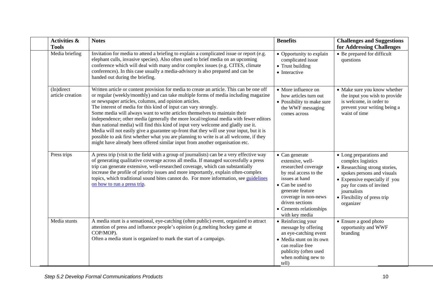| <b>Activities &amp;</b><br><b>Tools</b> | <b>Notes</b>                                                                                                                                                                                                                                                                                                                                                                                                                                                                                                                                                                                                                                                                                                                                                                                                                                   | <b>Benefits</b>                                                                                                                                                                                                                      | <b>Challenges and Suggestions</b><br>for Addressing Challenges                                                                                                                                                                      |
|-----------------------------------------|------------------------------------------------------------------------------------------------------------------------------------------------------------------------------------------------------------------------------------------------------------------------------------------------------------------------------------------------------------------------------------------------------------------------------------------------------------------------------------------------------------------------------------------------------------------------------------------------------------------------------------------------------------------------------------------------------------------------------------------------------------------------------------------------------------------------------------------------|--------------------------------------------------------------------------------------------------------------------------------------------------------------------------------------------------------------------------------------|-------------------------------------------------------------------------------------------------------------------------------------------------------------------------------------------------------------------------------------|
| Media briefing                          | Invitation for media to attend a briefing to explain a complicated issue or report (e.g.<br>elephant culls, invasive species). Also often used to brief media on an upcoming<br>conference which will deal with many and/or complex issues (e.g. CITES, climate<br>conferences). In this case usually a media-advisory is also prepared and can be<br>handed out during the briefing.                                                                                                                                                                                                                                                                                                                                                                                                                                                          | • Opportunity to explain<br>complicated issue<br>• Trust building<br>• Interactive                                                                                                                                                   | • Be prepared for difficult<br>questions                                                                                                                                                                                            |
| (In)direct<br>article creation          | Written article or content provision for media to create an article. This can be one off<br>or regular (weekly/monthly) and can take multiple forms of media including magazine<br>or newspaper articles, columns, and opinion articles.<br>The interest of media for this kind of input can vary strongly.<br>Some media will always want to write articles themselves to maintain their<br>independence; other media (generally the more local/regional media with fewer editors<br>than national media) will find this kind of input very welcome and gladly use it.<br>Media will not easily give a guarantee up-front that they will use your input, but it is<br>possible to ask first whether what you are planning to write is at all welcome, if they<br>might have already been offered similar input from another organisation etc. | • More influence on<br>how articles turn out<br>• Possibility to make sure<br>the WWF messaging<br>comes across                                                                                                                      | • Make sure you know whether<br>the input you wish to provide<br>is welcome, in order to<br>prevent your writing being a<br>waist of time                                                                                           |
| Press trips                             | A press trip (visit to the field with a group of journalists) can be a very effective way<br>of generating qualitative coverage across all media. If managed successfully a press<br>trip can generate extensive, well-researched coverage, which can substantially<br>increase the profile of priority issues and more importantly, explain often-complex<br>topics, which traditional sound bites cannot do. For more information, see guidelines<br>on how to run a press trip.                                                                                                                                                                                                                                                                                                                                                             | • Can generate<br>extensive, well-<br>researched coverage<br>by real access to the<br>issues at hand<br>• Can be used to<br>generate feature<br>coverage in non-news<br>driven sections<br>• Cements relationships<br>with key media | • Long preparations and<br>complex logistics<br>• Researching strong stories,<br>spokes persons and visuals<br>• Expensive especially if you<br>pay for costs of invited<br>journalists<br>• Flexibility of press trip<br>organizer |
| Media stunts                            | A media stunt is a sensational, eye-catching (often public) event, organized to attract<br>attention of press and influence people's opinion (e.g.melting hockey game at<br>COP/MOP).<br>Often a media stunt is organized to mark the start of a campaign.                                                                                                                                                                                                                                                                                                                                                                                                                                                                                                                                                                                     | • Reinforcing your<br>message by offering<br>an eye-catching event<br>• Media stunt on its own<br>can realize free<br>publicity (often used<br>when nothing new to<br>tell)                                                          | • Ensure a good photo<br>opportunity and WWF<br>branding                                                                                                                                                                            |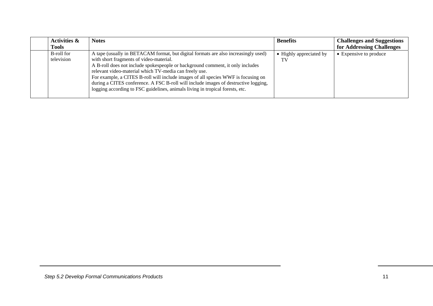| <b>Activities &amp;</b><br><b>Tools</b> | <b>Notes</b>                                                                                                                                                                                                                                                                                                                                                                                                                                                                                                                           | <b>Benefits</b>               | <b>Challenges and Suggestions</b><br>for Addressing Challenges |
|-----------------------------------------|----------------------------------------------------------------------------------------------------------------------------------------------------------------------------------------------------------------------------------------------------------------------------------------------------------------------------------------------------------------------------------------------------------------------------------------------------------------------------------------------------------------------------------------|-------------------------------|----------------------------------------------------------------|
| B-roll for<br>television                | A tape (usually in BETACAM format, but digital formats are also increasingly used)<br>with short fragments of video-material.<br>A B-roll does not include spokespeople or background comment, it only includes<br>relevant video-material which TV-media can freely use.<br>For example, a CITES B-roll will include images of all species WWF is focusing on<br>during a CITES conference. A FSC B-roll will include images of destructive logging,<br>logging according to FSC guidelines, animals living in tropical forests, etc. | • Highly appreciated by<br>TV | • Expensive to produce                                         |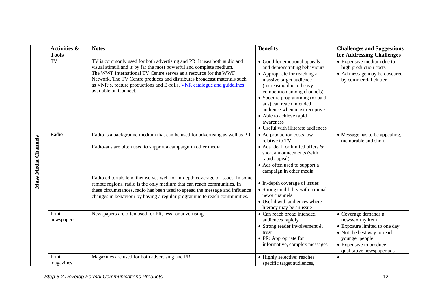|                     | <b>Activities &amp;</b>            | <b>Notes</b>                                                                                                                                                                                                                                                                                                                                                                                                                                                                                                                                                                                                                                                                                                                                                                                                                                                                  | <b>Benefits</b>                                                                                                                                                                                                                                                                                                                                                                                                                                                                                                                                                                                                                                                                      | <b>Challenges and Suggestions</b>                                                                                                                                                                  |
|---------------------|------------------------------------|-------------------------------------------------------------------------------------------------------------------------------------------------------------------------------------------------------------------------------------------------------------------------------------------------------------------------------------------------------------------------------------------------------------------------------------------------------------------------------------------------------------------------------------------------------------------------------------------------------------------------------------------------------------------------------------------------------------------------------------------------------------------------------------------------------------------------------------------------------------------------------|--------------------------------------------------------------------------------------------------------------------------------------------------------------------------------------------------------------------------------------------------------------------------------------------------------------------------------------------------------------------------------------------------------------------------------------------------------------------------------------------------------------------------------------------------------------------------------------------------------------------------------------------------------------------------------------|----------------------------------------------------------------------------------------------------------------------------------------------------------------------------------------------------|
| Mass Media Channels | <b>Tools</b><br><b>TV</b><br>Radio | TV is commonly used for both advertising and PR. It uses both audio and<br>visual stimuli and is by far the most powerful and complete medium.<br>The WWF International TV Centre serves as a resource for the WWF<br>Network. The TV Centre produces and distributes broadcast materials such<br>as VNR's, feature productions and B-rolls. VNR catalogue and guidelines<br>available on Connect.<br>Radio is a background medium that can be used for advertising as well as PR.<br>Radio-ads are often used to support a campaign in other media.<br>Radio editorials lend themselves well for in-depth coverage of issues. In some<br>remote regions, radio is the only medium that can reach communities. In<br>these circumstances, radio has been used to spread the message and influence<br>changes in behaviour by having a regular programme to reach communities. | • Good for emotional appeals<br>and demonstrating behaviours<br>• Appropriate for reaching a<br>massive target audience<br>(increasing due to heavy<br>competition among channels)<br>• Specific programming (or paid<br>ads) can reach intended<br>audience when most receptive<br>• Able to achieve rapid<br>awareness<br>• Useful with illiterate audiences<br>• Ad production costs low<br>relative to TV<br>• Ads ideal for limited offers &<br>short announcements (with<br>rapid appeal)<br>• Ads often used to support a<br>campaign in other media<br>• In-depth coverage of issues<br>• Strong credibility with national<br>news channels<br>• Useful with audiences where | for Addressing Challenges<br>• Expensive medium due to<br>high production costs<br>• Ad message may be obscured<br>by commercial clutter<br>• Message has to be appealing,<br>memorable and short. |
|                     | Print:<br>newspapers               | Newspapers are often used for PR, less for advertising.                                                                                                                                                                                                                                                                                                                                                                                                                                                                                                                                                                                                                                                                                                                                                                                                                       | literacy may be an issue<br>• Can reach broad intended<br>audiences rapidly<br>• Strong reader involvement $&$<br>trust<br>$\bullet$ PR: Appropriate for<br>informative, complex messages                                                                                                                                                                                                                                                                                                                                                                                                                                                                                            | • Coverage demands a<br>newsworthy item<br>• Exposure limited to one day<br>• Not the best way to reach<br>younger people<br>• Expensive to produce<br>qualitative newspaper ads                   |
|                     | Print:<br>magazines                | Magazines are used for both advertising and PR.                                                                                                                                                                                                                                                                                                                                                                                                                                                                                                                                                                                                                                                                                                                                                                                                                               | • Highly selective: reaches<br>specific target audiences,                                                                                                                                                                                                                                                                                                                                                                                                                                                                                                                                                                                                                            | $\bullet$                                                                                                                                                                                          |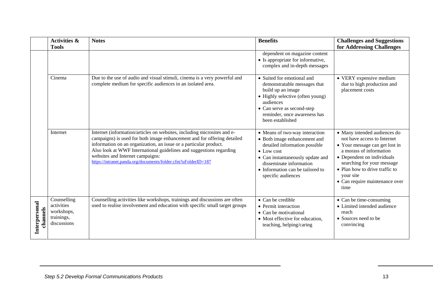|                           | <b>Activities &amp;</b><br><b>Tools</b>                              | <b>Notes</b>                                                                                                                                                                                                                                                                                                                                                                                        | <b>Benefits</b>                                                                                                                                                                                                                                | <b>Challenges and Suggestions</b><br>for Addressing Challenges                                                                                                                                                                                                                |
|---------------------------|----------------------------------------------------------------------|-----------------------------------------------------------------------------------------------------------------------------------------------------------------------------------------------------------------------------------------------------------------------------------------------------------------------------------------------------------------------------------------------------|------------------------------------------------------------------------------------------------------------------------------------------------------------------------------------------------------------------------------------------------|-------------------------------------------------------------------------------------------------------------------------------------------------------------------------------------------------------------------------------------------------------------------------------|
|                           |                                                                      |                                                                                                                                                                                                                                                                                                                                                                                                     | dependent on magazine content<br>• Is appropriate for informative,<br>complex and in-depth messages                                                                                                                                            |                                                                                                                                                                                                                                                                               |
|                           | Cinema                                                               | Due to the use of audio and visual stimuli, cinema is a very powerful and<br>complete medium for specific audiences in an isolated area.                                                                                                                                                                                                                                                            | • Suited for emotional and<br>demonstratable messages that<br>build up an image<br>• Highly selective (often young)<br>audiences<br>• Can serve as second-step<br>reminder, once awareness has<br>been established                             | • VERY expensive medium<br>due to high production and<br>placement costs                                                                                                                                                                                                      |
|                           | Internet                                                             | Internet (information/articles on websites, including microsites and e-<br>campaigns) is used for both image enhancement and for offering detailed<br>information on an organization, an issue or a particular product.<br>Also look at WWF International guidelines and suggestions regarding<br>websites and Internet campaigns:<br>https://intranet.panda.org/documents/folder.cfm?uFolderID=187 | • Means of two-way interaction<br>• Both image enhancement and<br>detailed information possible<br>$\bullet$ Low cost<br>• Can instantaneously update and<br>disseminate information<br>• Information can be tailored to<br>specific audiences | • Many intended audiences do<br>not have access to Internet<br>• Your message can get lost in<br>a morass of information<br>• Dependent on individuals<br>searching for your message<br>• Plan how to drive traffic to<br>your site<br>• Can require maintenance over<br>time |
| Interpersonal<br>channels | Counselling<br>activities<br>workshops,<br>trainings,<br>discussions | Counselling activities like workshops, trainings and discussions are often<br>used to realise involvement and education with specific small target groups                                                                                                                                                                                                                                           | $\bullet$ Can be credible<br>• Permit interaction<br>$\bullet$ Can be motivational<br>• Most effective for education,<br>teaching, helping/caring                                                                                              | • Can be time-consuming<br>• Limited intended audience<br>reach<br>• Sources need to be<br>convincing                                                                                                                                                                         |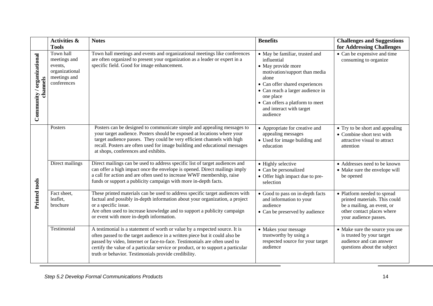|                                        | <b>Activities &amp;</b><br><b>Tools</b>                                               | <b>Notes</b>                                                                                                                                                                                                                                                                                                                                                                        | <b>Benefits</b>                                                                                                                                                                                                                                                             | <b>Challenges and Suggestions</b><br>for Addressing Challenges                                                                                    |
|----------------------------------------|---------------------------------------------------------------------------------------|-------------------------------------------------------------------------------------------------------------------------------------------------------------------------------------------------------------------------------------------------------------------------------------------------------------------------------------------------------------------------------------|-----------------------------------------------------------------------------------------------------------------------------------------------------------------------------------------------------------------------------------------------------------------------------|---------------------------------------------------------------------------------------------------------------------------------------------------|
| Community / organizational<br>channels | Town hall<br>meetings and<br>events,<br>organizational<br>meetings and<br>conferences | Town hall meetings and events and organizational meetings like conferences<br>are often organized to present your organization as a leader or expert in a<br>specific field. Good for image enhancement.                                                                                                                                                                            | • May be familiar, trusted and<br>influential<br>• May provide more<br>motivation/support than media<br>alone<br>• Can offer shared experiences<br>• Can reach a larger audience in<br>one place<br>• Can offers a platform to meet<br>and interact with target<br>audience | • Can be expensive and time<br>consuming to organize                                                                                              |
| Printed tools                          | Posters                                                                               | Posters can be designed to communicate simple and appealing messages to<br>your target audience. Posters should be exposed at locations where your<br>target audience passes. They could be very efficient channels with high<br>recall. Posters are often used for image building and educational messages<br>at shops, conferences and exhibits.                                  | • Appropriate for creative and<br>appealing messages<br>• Used for image building and<br>education                                                                                                                                                                          | • Try to be short and appealing<br>• Combine short text with<br>attractive visual to attract<br>attention                                         |
|                                        | Direct mailings                                                                       | Direct mailings can be used to address specific list of target audiences and<br>can offer a high impact once the envelope is opened. Direct mailings imply<br>a call for action and are often used to increase WWF membership, raise<br>funds or support a publicity campaign with more in-depth facts.                                                                             | • Highly selective<br>• Can be personalized<br>• Offer high impact due to pre-<br>selection                                                                                                                                                                                 | • Addresses need to be known<br>• Make sure the envelope will<br>be opened                                                                        |
|                                        | Fact sheet,<br>leaflet,<br>brochure                                                   | These printed materials can be used to address specific target audiences with<br>factual and possibly in-depth information about your organization, a project<br>or a specific issue.<br>Are often used to increase knowledge and to support a publicity campaign<br>or event with more in-depth information.                                                                       | • Good to pass on in-depth facts<br>and information to your<br>audience<br>• Can be preserved by audience                                                                                                                                                                   | • Platform needed to spread<br>printed materials. This could<br>be a mailing, an event, or<br>other contact places where<br>your audience passes. |
|                                        | Testimonial                                                                           | A testimonial is a statement of worth or value by a respected source. It is<br>often passed to the target audience in a written piece but it could also be<br>passed by video, Internet or face-to-face. Testimonials are often used to<br>certify the value of a particular service or product, or to support a particular<br>truth or behavior. Testimonials provide credibility. | • Makes your message<br>trustworthy by using a<br>respected source for your target<br>audience                                                                                                                                                                              | • Make sure the source you use<br>is trusted by your target<br>audience and can answer<br>questions about the subject                             |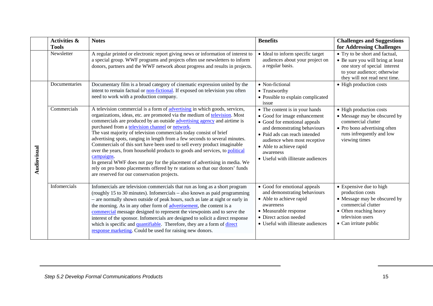|             | <b>Activities &amp;</b><br><b>Tools</b> | <b>Notes</b>                                                                                                                                                                                                                                                                                                                                                                                                                                                                                                                                                                                                                                                                                                                                                                                                                      | <b>Benefits</b>                                                                                                                                                                                                                                                               | <b>Challenges and Suggestions</b><br>for Addressing Challenges                                                                                                           |
|-------------|-----------------------------------------|-----------------------------------------------------------------------------------------------------------------------------------------------------------------------------------------------------------------------------------------------------------------------------------------------------------------------------------------------------------------------------------------------------------------------------------------------------------------------------------------------------------------------------------------------------------------------------------------------------------------------------------------------------------------------------------------------------------------------------------------------------------------------------------------------------------------------------------|-------------------------------------------------------------------------------------------------------------------------------------------------------------------------------------------------------------------------------------------------------------------------------|--------------------------------------------------------------------------------------------------------------------------------------------------------------------------|
|             | Newsletter                              | A regular printed or electronic report giving news or information of interest to<br>a special group. WWF programs and projects often use newsletters to inform<br>donors, partners and the WWF network about progress and results in projects.                                                                                                                                                                                                                                                                                                                                                                                                                                                                                                                                                                                    | • Ideal to inform specific target<br>audiences about your project on<br>a regular basis.                                                                                                                                                                                      | • Try to be short and factual,<br>• Be sure you will bring at least<br>one story of special interest<br>to your audience; otherwise<br>they will not read next time.     |
|             | Documentaries                           | Documentary film is a broad category of cinematic expression united by the<br>intent to remain factual or non-fictional. If exposed on television you often<br>need to work with a production company.                                                                                                                                                                                                                                                                                                                                                                                                                                                                                                                                                                                                                            | • Non-fictional<br>• Trustworthy<br>• Possible to explain complicated<br>issue                                                                                                                                                                                                | • High production costs                                                                                                                                                  |
| Audiovisual | Commercials                             | A television commercial is a form of advertising in which goods, services,<br>organizations, ideas, etc. are promoted via the medium of television. Most<br>commercials are produced by an outside advertising agency and airtime is<br>purchased from a television channel or network.<br>The vast majority of television commercials today consist of brief<br>advertising spots, ranging in length from a few seconds to several minutes.<br>Commercials of this sort have been used to sell every product imaginable<br>over the years, from household products to goods and services, to political<br>campaigns.<br>In general WWF does not pay for the placement of advertising in media. We<br>rely on pro bono placements offered by tv stations so that our donors' funds<br>are reserved for our conservation projects. | • The content is in your hands<br>• Good for image enhancement<br>• Good for emotional appeals<br>and demonstrating behaviours<br>• Paid ads can reach intended<br>audience when most receptive<br>• Able to achieve rapid<br>awareness<br>• Useful with illiterate audiences | • High production costs<br>• Message may be obscured by<br>commercial clutter<br>• Pro bono advertising often<br>runs infrequently and low<br>viewing times              |
|             | Infomercials                            | Infomercials are television commercials that run as long as a short program<br>(roughly 15 to 30 minutes). Infomercials - also known as paid programming<br>- are normally shown outside of peak hours, such as late at night or early in<br>the morning. As in any other form of advertisement, the content is a<br>commercial message designed to represent the viewpoints and to serve the<br>interest of the sponsor. Infomercials are designed to solicit a direct response<br>which is specific and quantifiable. Therefore, they are a form of direct<br>response marketing. Could be used for raising new donors.                                                                                                                                                                                                         | • Good for emotional appeals<br>and demonstrating behaviours<br>• Able to achieve rapid<br>awareness<br>• Measurable response<br>• Direct action needed<br>• Useful with illiterate audiences                                                                                 | • Expensive due to high<br>production costs<br>• Message may be obscured by<br>commercial clutter<br>• Often reaching heavy<br>television users<br>• Can irritate public |